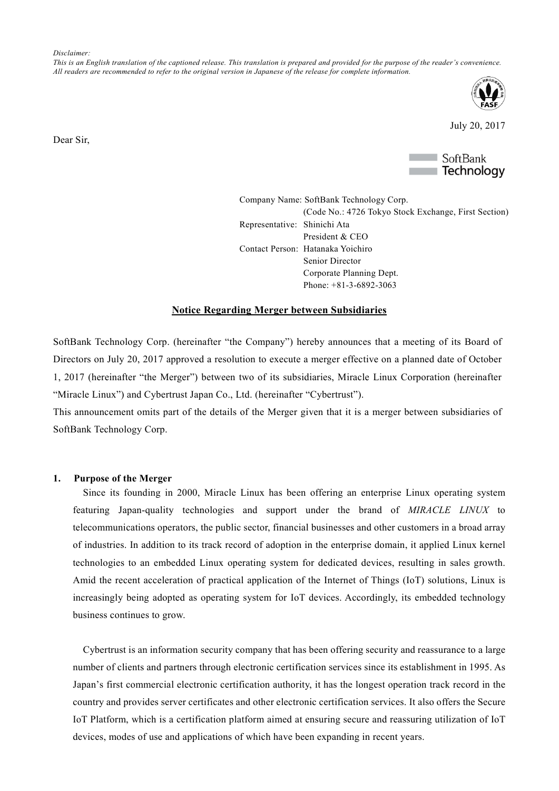*Disclaimer:*

*This is an English translation of the captioned release. This translation is prepared and provided for the purpose of the reader's convenience. All readers are recommended to refer to the original version in Japanese of the release for complete information.*



July 20, 2017



Company Name: SoftBank Technology Corp. (Code No.: 4726 Tokyo Stock Exchange, First Section) Representative: Shinichi Ata President & CEO Contact Person: Hatanaka Yoichiro Senior Director Corporate Planning Dept. Phone: +81-3-6892-3063

#### **Notice Regarding Merger between Subsidiaries**

SoftBank Technology Corp. (hereinafter "the Company") hereby announces that a meeting of its Board of Directors on July 20, 2017 approved a resolution to execute a merger effective on a planned date of October 1, 2017 (hereinafter "the Merger") between two of its subsidiaries, Miracle Linux Corporation (hereinafter "Miracle Linux") and Cybertrust Japan Co., Ltd. (hereinafter "Cybertrust").

This announcement omits part of the details of the Merger given that it is a merger between subsidiaries of SoftBank Technology Corp.

#### **1. Purpose of the Merger**

Since its founding in 2000, Miracle Linux has been offering an enterprise Linux operating system featuring Japan-quality technologies and support under the brand of *MIRACLE LINUX* to telecommunications operators, the public sector, financial businesses and other customers in a broad array of industries. In addition to its track record of adoption in the enterprise domain, it applied Linux kernel technologies to an embedded Linux operating system for dedicated devices, resulting in sales growth. Amid the recent acceleration of practical application of the Internet of Things (IoT) solutions, Linux is increasingly being adopted as operating system for IoT devices. Accordingly, its embedded technology business continues to grow.

Cybertrust is an information security company that has been offering security and reassurance to a large number of clients and partners through electronic certification services since its establishment in 1995. As Japan's first commercial electronic certification authority, it has the longest operation track record in the country and provides server certificates and other electronic certification services. It also offers the Secure IoT Platform, which is a certification platform aimed at ensuring secure and reassuring utilization of IoT devices, modes of use and applications of which have been expanding in recent years.

Dear Sir,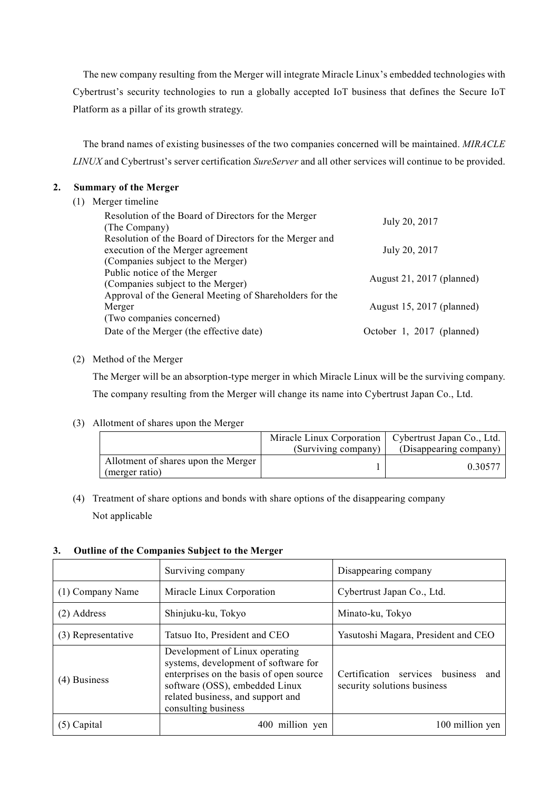The new company resulting from the Merger will integrate Miracle Linux's embedded technologies with Cybertrust's security technologies to run a globally accepted IoT business that defines the Secure IoT Platform as a pillar of its growth strategy.

The brand names of existing businesses of the two companies concerned will be maintained. *MIRACLE LINUX* and Cybertrust's server certification *SureServer* and all other services will continue to be provided.

# **2. Summary of the Merger**

(1) Merger timeline

| Resolution of the Board of Directors for the Merger     |                           |
|---------------------------------------------------------|---------------------------|
| (The Company)                                           | July 20, 2017             |
| Resolution of the Board of Directors for the Merger and |                           |
| execution of the Merger agreement                       | July 20, 2017             |
| (Companies subject to the Merger)                       |                           |
| Public notice of the Merger                             |                           |
| (Companies subject to the Merger)                       | August 21, 2017 (planned) |
| Approval of the General Meeting of Shareholders for the |                           |
| Merger                                                  | August 15, 2017 (planned) |
| (Two companies concerned)                               |                           |
| Date of the Merger (the effective date)                 | October 1, 2017 (planned) |
|                                                         |                           |

## (2) Method of the Merger

The Merger will be an absorption-type merger in which Miracle Linux will be the surviving company. The company resulting from the Merger will change its name into Cybertrust Japan Co., Ltd.

## (3) Allotment of shares upon the Merger

|                                                       | Miracle Linux Corporation   Cybertrust Japan Co., Ltd.<br>(Surviving company) | (Disappearing company) |
|-------------------------------------------------------|-------------------------------------------------------------------------------|------------------------|
| Allotment of shares upon the Merger<br>(merger ratio) |                                                                               | 0.30577                |

(4) Treatment of share options and bonds with share options of the disappearing company Not applicable

## **3. Outline of the Companies Subject to the Merger**

|                    | Surviving company                                                                                                                                                                                               | Disappearing company                                                  |  |
|--------------------|-----------------------------------------------------------------------------------------------------------------------------------------------------------------------------------------------------------------|-----------------------------------------------------------------------|--|
| (1) Company Name   | Miracle Linux Corporation                                                                                                                                                                                       | Cybertrust Japan Co., Ltd.                                            |  |
| (2) Address        | Shinjuku-ku, Tokyo                                                                                                                                                                                              | Minato-ku, Tokyo                                                      |  |
| (3) Representative | Tatsuo Ito, President and CEO                                                                                                                                                                                   | Yasutoshi Magara, President and CEO                                   |  |
| (4) Business       | Development of Linux operating<br>systems, development of software for<br>enterprises on the basis of open source<br>software (OSS), embedded Linux<br>related business, and support and<br>consulting business | Certification services business<br>and<br>security solutions business |  |
| $(5)$ Capital      | million yen                                                                                                                                                                                                     | 100 million yen                                                       |  |